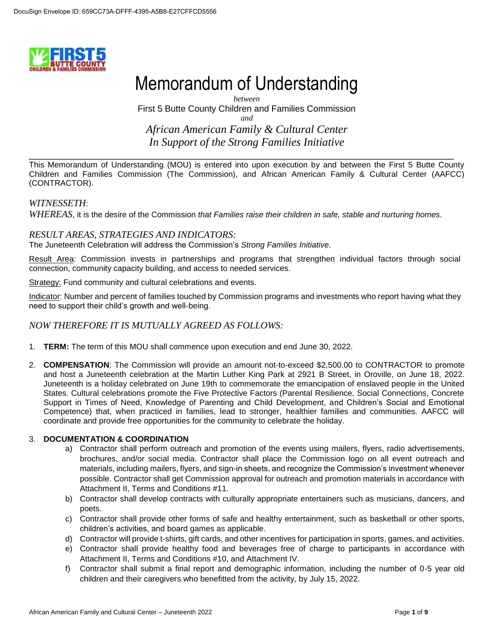

# Memorandum of Understanding

*between* First 5 Butte County Children and Families Commission *and African American Family & Cultural Center In Support of the Strong Families Initiative*

This Memorandum of Understanding (MOU) is entered into upon execution by and between the First 5 Butte County Children and Families Commission (The Commission), and African American Family & Cultural Center (AAFCC) (CONTRACTOR).

\_\_\_\_\_\_\_\_\_\_\_\_\_\_\_\_\_\_\_\_\_\_\_\_\_\_\_\_\_\_\_\_\_\_\_\_\_\_\_\_\_\_\_\_\_\_\_\_\_\_\_\_\_\_\_\_\_\_\_\_\_\_\_\_\_\_\_\_\_\_\_\_\_\_\_\_\_\_\_

#### *WITNESSETH*:

*WHEREAS*, it is the desire of the Commission *that Families raise their children in safe, stable and nurturing homes.*

#### *RESULT AREAS, STRATEGIES AND INDICATORS:*

The Juneteenth Celebration will address the Commission's *Strong Families Initiative*.

Result Area: Commission invests in partnerships and programs that strengthen individual factors through social connection, community capacity building, and access to needed services.

Strategy: Fund community and cultural celebrations and events.

Indicator: Number and percent of families touched by Commission programs and investments who report having what they need to support their child's growth and well-being.

#### *NOW THEREFORE IT IS MUTUALLY AGREED AS FOLLOWS:*

- 1. **TERM:** The term of this MOU shall commence upon execution and end June 30, 2022.
- 2. **COMPENSATION**: The Commission will provide an amount not-to-exceed \$2,500.00 to CONTRACTOR to promote and host a Juneteenth celebration at the Martin Luther King Park at 2921 B Street, in Oroville, on June 18, 2022. Juneteenth is a holiday celebrated on June 19th to commemorate the emancipation of enslaved people in the United States. Cultural celebrations promote the Five Protective Factors (Parental Resilience, Social Connections, Concrete Support in Times of Need, Knowledge of Parenting and Child Development, and Children's Social and Emotional Competence) that, when practiced in families, lead to stronger, healthier families and communities. AAFCC will coordinate and provide free opportunities for the community to celebrate the holiday.

#### 3. **DOCUMENTATION & COORDINATION**

- a) Contractor shall perform outreach and promotion of the events using mailers, flyers, radio advertisements, brochures, and/or social media. Contractor shall place the Commission logo on all event outreach and materials, including mailers, flyers, and sign-in sheets, and recognize the Commission's investment whenever possible. Contractor shall get Commission approval for outreach and promotion materials in accordance with Attachment II, Terms and Conditions #11.
- b) Contractor shall develop contracts with culturally appropriate entertainers such as musicians, dancers, and poets.
- c) Contractor shall provide other forms of safe and healthy entertainment, such as basketball or other sports, children's activities, and board games as applicable.
- d) Contractor will provide t-shirts, gift cards, and other incentives for participation in sports, games, and activities.
- e) Contractor shall provide healthy food and beverages free of charge to participants in accordance with Attachment II, Terms and Conditions #10, and Attachment IV.
- f) Contractor shall submit a final report and demographic information, including the number of 0-5 year old children and their caregivers who benefitted from the activity, by July 15, 2022.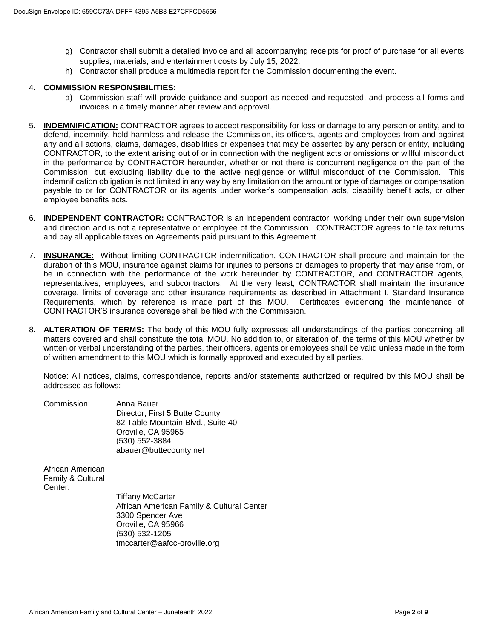- g) Contractor shall submit a detailed invoice and all accompanying receipts for proof of purchase for all events supplies, materials, and entertainment costs by July 15, 2022.
- h) Contractor shall produce a multimedia report for the Commission documenting the event.

#### 4. **COMMISSION RESPONSIBILITIES:**

- a) Commission staff will provide guidance and support as needed and requested, and process all forms and invoices in a timely manner after review and approval.
- 5. **INDEMNIFICATION:** CONTRACTOR agrees to accept responsibility for loss or damage to any person or entity, and to defend, indemnify, hold harmless and release the Commission, its officers, agents and employees from and against any and all actions, claims, damages, disabilities or expenses that may be asserted by any person or entity, including CONTRACTOR, to the extent arising out of or in connection with the negligent acts or omissions or willful misconduct in the performance by CONTRACTOR hereunder, whether or not there is concurrent negligence on the part of the Commission, but excluding liability due to the active negligence or willful misconduct of the Commission. This indemnification obligation is not limited in any way by any limitation on the amount or type of damages or compensation payable to or for CONTRACTOR or its agents under worker's compensation acts, disability benefit acts, or other employee benefits acts.
- 6. **INDEPENDENT CONTRACTOR:** CONTRACTOR is an independent contractor, working under their own supervision and direction and is not a representative or employee of the Commission. CONTRACTOR agrees to file tax returns and pay all applicable taxes on Agreements paid pursuant to this Agreement.
- 7. **INSURANCE:** Without limiting CONTRACTOR indemnification, CONTRACTOR shall procure and maintain for the duration of this MOU, insurance against claims for injuries to persons or damages to property that may arise from, or be in connection with the performance of the work hereunder by CONTRACTOR, and CONTRACTOR agents, representatives, employees, and subcontractors. At the very least, CONTRACTOR shall maintain the insurance coverage, limits of coverage and other insurance requirements as described in Attachment I, Standard Insurance Requirements, which by reference is made part of this MOU. Certificates evidencing the maintenance of CONTRACTOR'S insurance coverage shall be filed with the Commission.
- 8. **ALTERATION OF TERMS:** The body of this MOU fully expresses all understandings of the parties concerning all matters covered and shall constitute the total MOU. No addition to, or alteration of, the terms of this MOU whether by written or verbal understanding of the parties, their officers, agents or employees shall be valid unless made in the form of written amendment to this MOU which is formally approved and executed by all parties.

Notice: All notices, claims, correspondence, reports and/or statements authorized or required by this MOU shall be addressed as follows:

| Commission: | Anna Bauer                        |
|-------------|-----------------------------------|
|             | Director, First 5 Butte County    |
|             | 82 Table Mountain Blvd., Suite 40 |
|             | Oroville, CA 95965                |
|             | (530) 552-3884                    |
|             | abauer@buttecounty.net            |

African American Family & Cultural Center:

> Tiffany McCarter African American Family & Cultural Center 3300 Spencer Ave Oroville, CA 95966 (530) 532-1205 tmccarter@aafcc-oroville.org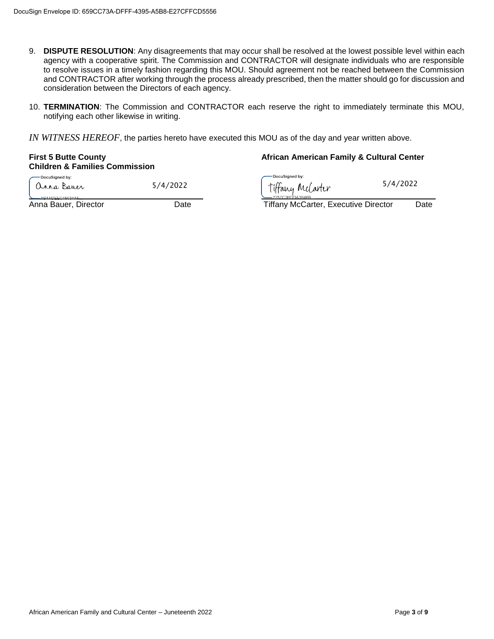- 9. **DISPUTE RESOLUTION**: Any disagreements that may occur shall be resolved at the lowest possible level within each agency with a cooperative spirit. The Commission and CONTRACTOR will designate individuals who are responsible to resolve issues in a timely fashion regarding this MOU. Should agreement not be reached between the Commission and CONTRACTOR after working through the process already prescribed, then the matter should go for discussion and consideration between the Directors of each agency.
- 10. **TERMINATION**: The Commission and CONTRACTOR each reserve the right to immediately terminate this MOU, notifying each other likewise in writing.

*IN WITNESS HEREOF*, the parties hereto have executed this MOU as of the day and year written above.

# **Children & Families Commission** -<br>DocuSianed by:

anna Bauer ABAADEEC15034AE

#### **First 5 Butte County African American Family & Cultural Center**

-DocuSianed by: 5/4/2022 Tiffany Melarter 5/4/2022

Anna Bauer, Director **Date** Date **Date Communist Club** Tiffany McCarter, Executive Director Date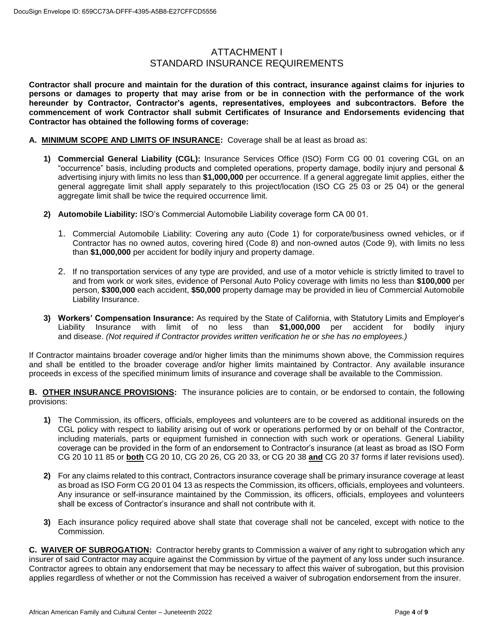#### ATTACHMENT I STANDARD INSURANCE REQUIREMENTS

**Contractor shall procure and maintain for the duration of this contract, insurance against claims for injuries to persons or damages to property that may arise from or be in connection with the performance of the work hereunder by Contractor, Contractor's agents, representatives, employees and subcontractors. Before the commencement of work Contractor shall submit Certificates of Insurance and Endorsements evidencing that Contractor has obtained the following forms of coverage:**

- **A. MINIMUM SCOPE AND LIMITS OF INSURANCE:** Coverage shall be at least as broad as:
	- **1) Commercial General Liability (CGL):** Insurance Services Office (ISO) Form CG 00 01 covering CGL on an "occurrence" basis, including products and completed operations, property damage, bodily injury and personal & advertising injury with limits no less than **\$1,000,000** per occurrence. If a general aggregate limit applies, either the general aggregate limit shall apply separately to this project/location (ISO CG 25 03 or 25 04) or the general aggregate limit shall be twice the required occurrence limit.
	- **2) Automobile Liability:** ISO's Commercial Automobile Liability coverage form CA 00 01.
		- 1. Commercial Automobile Liability: Covering any auto (Code 1) for corporate/business owned vehicles, or if Contractor has no owned autos, covering hired (Code 8) and non-owned autos (Code 9), with limits no less than **\$1,000,000** per accident for bodily injury and property damage.
		- 2. If no transportation services of any type are provided, and use of a motor vehicle is strictly limited to travel to and from work or work sites, evidence of Personal Auto Policy coverage with limits no less than **\$100,000** per person, **\$300,000** each accident, **\$50,000** property damage may be provided in lieu of Commercial Automobile Liability Insurance.
	- **3) Workers' Compensation Insurance:** As required by the State of California, with Statutory Limits and Employer's Liability Insurance with limit of no less than **\$1,000,000** per accident for bodily injury and disease. *(Not required if Contractor provides written verification he or she has no employees.)*

If Contractor maintains broader coverage and/or higher limits than the minimums shown above, the Commission requires and shall be entitled to the broader coverage and/or higher limits maintained by Contractor. Any available insurance proceeds in excess of the specified minimum limits of insurance and coverage shall be available to the Commission.

**B. OTHER INSURANCE PROVISIONS:** The insurance policies are to contain, or be endorsed to contain, the following provisions:

- **1)** The Commission, its officers, officials, employees and volunteers are to be covered as additional insureds on the CGL policy with respect to liability arising out of work or operations performed by or on behalf of the Contractor, including materials, parts or equipment furnished in connection with such work or operations. General Liability coverage can be provided in the form of an endorsement to Contractor's insurance (at least as broad as ISO Form CG 20 10 11 85 or **both** CG 20 10, CG 20 26, CG 20 33, or CG 20 38 **and** CG 20 37 forms if later revisions used).
- **2)** For any claims related to this contract, Contractors insurance coverage shall be primary insurance coverage at least as broad as ISO Form CG 20 01 04 13 as respects the Commission, its officers, officials, employees and volunteers. Any insurance or self-insurance maintained by the Commission, its officers, officials, employees and volunteers shall be excess of Contractor's insurance and shall not contribute with it.
- **3)** Each insurance policy required above shall state that coverage shall not be canceled, except with notice to the Commission.

**C. WAIVER OF SUBROGATION:** Contractor hereby grants to Commission a waiver of any right to subrogation which any insurer of said Contractor may acquire against the Commission by virtue of the payment of any loss under such insurance. Contractor agrees to obtain any endorsement that may be necessary to affect this waiver of subrogation, but this provision applies regardless of whether or not the Commission has received a waiver of subrogation endorsement from the insurer.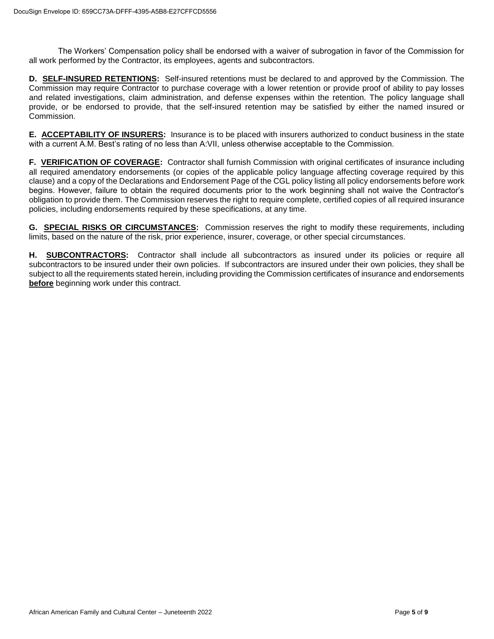The Workers' Compensation policy shall be endorsed with a waiver of subrogation in favor of the Commission for all work performed by the Contractor, its employees, agents and subcontractors.

**D. SELF-INSURED RETENTIONS:** Self-insured retentions must be declared to and approved by the Commission. The Commission may require Contractor to purchase coverage with a lower retention or provide proof of ability to pay losses and related investigations, claim administration, and defense expenses within the retention. The policy language shall provide, or be endorsed to provide, that the self-insured retention may be satisfied by either the named insured or Commission.

**E. ACCEPTABILITY OF INSURERS:** Insurance is to be placed with insurers authorized to conduct business in the state with a current A.M. Best's rating of no less than A:VII, unless otherwise acceptable to the Commission.

**F. VERIFICATION OF COVERAGE:** Contractor shall furnish Commission with original certificates of insurance including all required amendatory endorsements (or copies of the applicable policy language affecting coverage required by this clause) and a copy of the Declarations and Endorsement Page of the CGL policy listing all policy endorsements before work begins. However, failure to obtain the required documents prior to the work beginning shall not waive the Contractor's obligation to provide them. The Commission reserves the right to require complete, certified copies of all required insurance policies, including endorsements required by these specifications, at any time.

**G. SPECIAL RISKS OR CIRCUMSTANCES:** Commission reserves the right to modify these requirements, including limits, based on the nature of the risk, prior experience, insurer, coverage, or other special circumstances.

**H. SUBCONTRACTORS:** Contractor shall include all subcontractors as insured under its policies or require all subcontractors to be insured under their own policies. If subcontractors are insured under their own policies, they shall be subject to all the requirements stated herein, including providing the Commission certificates of insurance and endorsements **before** beginning work under this contract.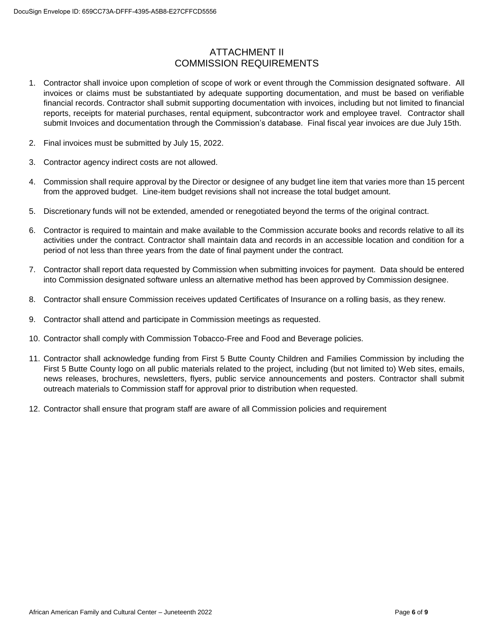# ATTACHMENT II COMMISSION REQUIREMENTS

- 1. Contractor shall invoice upon completion of scope of work or event through the Commission designated software. All invoices or claims must be substantiated by adequate supporting documentation, and must be based on verifiable financial records. Contractor shall submit supporting documentation with invoices, including but not limited to financial reports, receipts for material purchases, rental equipment, subcontractor work and employee travel. Contractor shall submit Invoices and documentation through the Commission's database. Final fiscal year invoices are due July 15th.
- 2. Final invoices must be submitted by July 15, 2022.
- 3. Contractor agency indirect costs are not allowed.
- 4. Commission shall require approval by the Director or designee of any budget line item that varies more than 15 percent from the approved budget. Line-item budget revisions shall not increase the total budget amount.
- 5. Discretionary funds will not be extended, amended or renegotiated beyond the terms of the original contract.
- 6. Contractor is required to maintain and make available to the Commission accurate books and records relative to all its activities under the contract. Contractor shall maintain data and records in an accessible location and condition for a period of not less than three years from the date of final payment under the contract.
- 7. Contractor shall report data requested by Commission when submitting invoices for payment. Data should be entered into Commission designated software unless an alternative method has been approved by Commission designee.
- 8. Contractor shall ensure Commission receives updated Certificates of Insurance on a rolling basis, as they renew.
- 9. Contractor shall attend and participate in Commission meetings as requested.
- 10. Contractor shall comply with Commission Tobacco-Free and Food and Beverage policies.
- 11. Contractor shall acknowledge funding from First 5 Butte County Children and Families Commission by including the First 5 Butte County logo on all public materials related to the project, including (but not limited to) Web sites, emails, news releases, brochures, newsletters, flyers, public service announcements and posters. Contractor shall submit outreach materials to Commission staff for approval prior to distribution when requested.
- 12. Contractor shall ensure that program staff are aware of all Commission policies and requirement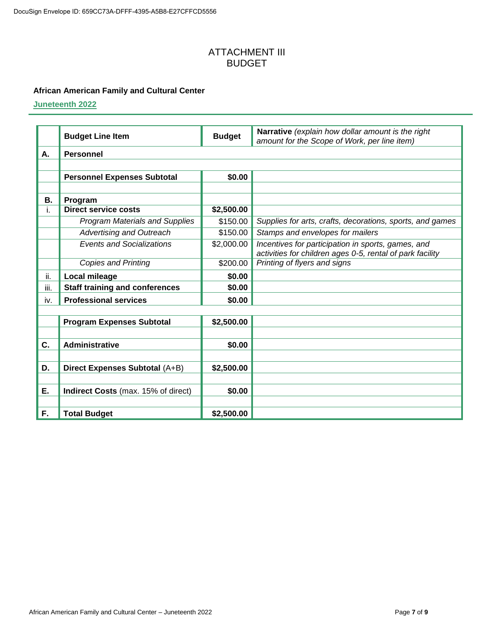#### ATTACHMENT III BUDGET

#### **African American Family and Cultural Center**

**Juneteenth 2022**

|      | <b>Budget Line Item</b>               | <b>Budget</b>          | Narrative (explain how dollar amount is the right<br>amount for the Scope of Work, per line item) |  |  |
|------|---------------------------------------|------------------------|---------------------------------------------------------------------------------------------------|--|--|
| Α.   | <b>Personnel</b>                      |                        |                                                                                                   |  |  |
|      |                                       |                        |                                                                                                   |  |  |
|      | <b>Personnel Expenses Subtotal</b>    | \$0.00                 |                                                                                                   |  |  |
|      |                                       |                        |                                                                                                   |  |  |
| В.   | Program                               |                        |                                                                                                   |  |  |
| i.   | <b>Direct service costs</b>           | \$2,500.00             |                                                                                                   |  |  |
|      | <b>Program Materials and Supplies</b> | \$150.00               | Supplies for arts, crafts, decorations, sports, and games                                         |  |  |
|      | <b>Advertising and Outreach</b>       | \$150.00               | Stamps and envelopes for mailers                                                                  |  |  |
|      | <b>Events and Socializations</b>      | $\overline{$}2,000.00$ | Incentives for participation in sports, games, and                                                |  |  |
|      |                                       |                        | activities for children ages 0-5, rental of park facility                                         |  |  |
|      | <b>Copies and Printing</b>            | \$200.00               | Printing of flyers and signs                                                                      |  |  |
| ii.  | Local mileage                         | \$0.00                 |                                                                                                   |  |  |
| iii. | <b>Staff training and conferences</b> | \$0.00                 |                                                                                                   |  |  |
| iv.  | <b>Professional services</b>          | \$0.00                 |                                                                                                   |  |  |
|      |                                       |                        |                                                                                                   |  |  |
|      | <b>Program Expenses Subtotal</b>      | \$2,500.00             |                                                                                                   |  |  |
|      |                                       |                        |                                                                                                   |  |  |
| C.   | <b>Administrative</b>                 | \$0.00                 |                                                                                                   |  |  |
|      |                                       |                        |                                                                                                   |  |  |
| D.   | Direct Expenses Subtotal (A+B)        | \$2,500.00             |                                                                                                   |  |  |
|      |                                       |                        |                                                                                                   |  |  |
| Ε.   | Indirect Costs (max. 15% of direct)   | \$0.00                 |                                                                                                   |  |  |
|      |                                       |                        |                                                                                                   |  |  |
| F.   | <b>Total Budget</b>                   | \$2,500.00             |                                                                                                   |  |  |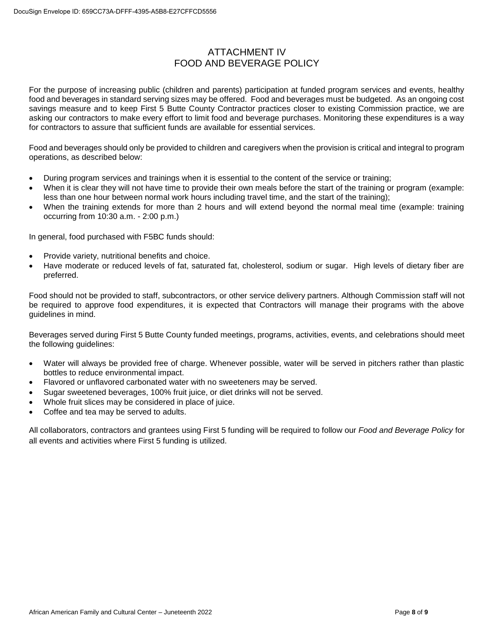## ATTACHMENT IV FOOD AND BEVERAGE POLICY

For the purpose of increasing public (children and parents) participation at funded program services and events, healthy food and beverages in standard serving sizes may be offered. Food and beverages must be budgeted. As an ongoing cost savings measure and to keep First 5 Butte County Contractor practices closer to existing Commission practice, we are asking our contractors to make every effort to limit food and beverage purchases. Monitoring these expenditures is a way for contractors to assure that sufficient funds are available for essential services.

Food and beverages should only be provided to children and caregivers when the provision is critical and integral to program operations, as described below:

- During program services and trainings when it is essential to the content of the service or training;
- When it is clear they will not have time to provide their own meals before the start of the training or program (example: less than one hour between normal work hours including travel time, and the start of the training);
- When the training extends for more than 2 hours and will extend beyond the normal meal time (example: training occurring from 10:30 a.m. - 2:00 p.m.)

In general, food purchased with F5BC funds should:

- Provide variety, nutritional benefits and choice.
- Have moderate or reduced levels of fat, saturated fat, cholesterol, sodium or sugar. High levels of dietary fiber are preferred.

Food should not be provided to staff, subcontractors, or other service delivery partners. Although Commission staff will not be required to approve food expenditures, it is expected that Contractors will manage their programs with the above guidelines in mind.

Beverages served during First 5 Butte County funded meetings, programs, activities, events, and celebrations should meet the following guidelines:

- Water will always be provided free of charge. Whenever possible, water will be served in pitchers rather than plastic bottles to reduce environmental impact.
- Flavored or unflavored carbonated water with no sweeteners may be served.
- Sugar sweetened beverages, 100% fruit juice, or diet drinks will not be served.
- Whole fruit slices may be considered in place of juice.
- Coffee and tea may be served to adults.

All collaborators, contractors and grantees using First 5 funding will be required to follow our *Food and Beverage Policy* for all events and activities where First 5 funding is utilized.